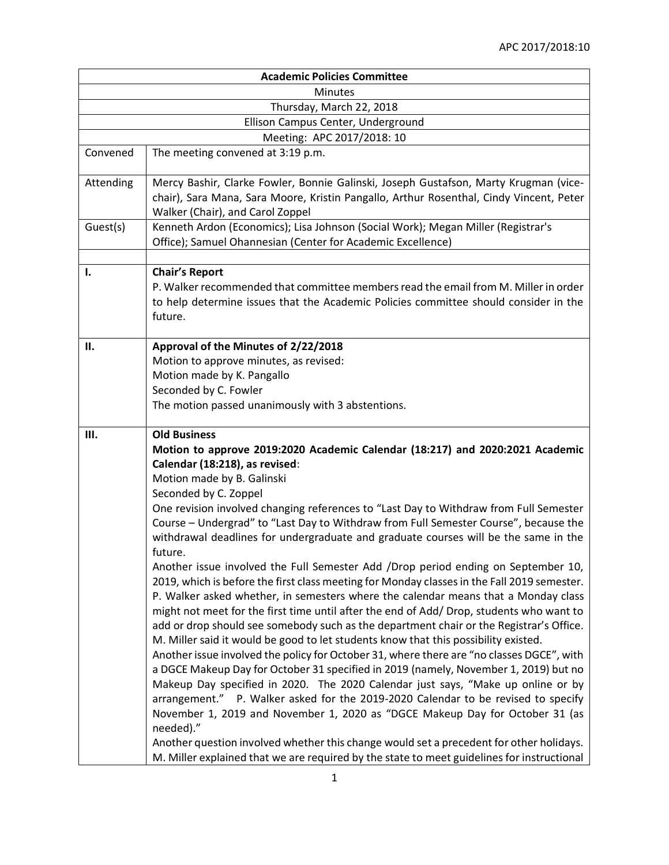| <b>Academic Policies Committee</b> |                                                                                                                                                                                                                                                                                                                                                                                                                                                                                                                                                                                                                                                                                                                                                                                                                                                                                                                                                                                                                                                                                                                                                                                                                                                                                                                                                                                                                                                                                        |  |
|------------------------------------|----------------------------------------------------------------------------------------------------------------------------------------------------------------------------------------------------------------------------------------------------------------------------------------------------------------------------------------------------------------------------------------------------------------------------------------------------------------------------------------------------------------------------------------------------------------------------------------------------------------------------------------------------------------------------------------------------------------------------------------------------------------------------------------------------------------------------------------------------------------------------------------------------------------------------------------------------------------------------------------------------------------------------------------------------------------------------------------------------------------------------------------------------------------------------------------------------------------------------------------------------------------------------------------------------------------------------------------------------------------------------------------------------------------------------------------------------------------------------------------|--|
| <b>Minutes</b>                     |                                                                                                                                                                                                                                                                                                                                                                                                                                                                                                                                                                                                                                                                                                                                                                                                                                                                                                                                                                                                                                                                                                                                                                                                                                                                                                                                                                                                                                                                                        |  |
| Thursday, March 22, 2018           |                                                                                                                                                                                                                                                                                                                                                                                                                                                                                                                                                                                                                                                                                                                                                                                                                                                                                                                                                                                                                                                                                                                                                                                                                                                                                                                                                                                                                                                                                        |  |
|                                    | Ellison Campus Center, Underground                                                                                                                                                                                                                                                                                                                                                                                                                                                                                                                                                                                                                                                                                                                                                                                                                                                                                                                                                                                                                                                                                                                                                                                                                                                                                                                                                                                                                                                     |  |
|                                    | Meeting: APC 2017/2018: 10                                                                                                                                                                                                                                                                                                                                                                                                                                                                                                                                                                                                                                                                                                                                                                                                                                                                                                                                                                                                                                                                                                                                                                                                                                                                                                                                                                                                                                                             |  |
| Convened                           | The meeting convened at 3:19 p.m.                                                                                                                                                                                                                                                                                                                                                                                                                                                                                                                                                                                                                                                                                                                                                                                                                                                                                                                                                                                                                                                                                                                                                                                                                                                                                                                                                                                                                                                      |  |
| Attending                          | Mercy Bashir, Clarke Fowler, Bonnie Galinski, Joseph Gustafson, Marty Krugman (vice-<br>chair), Sara Mana, Sara Moore, Kristin Pangallo, Arthur Rosenthal, Cindy Vincent, Peter<br>Walker (Chair), and Carol Zoppel                                                                                                                                                                                                                                                                                                                                                                                                                                                                                                                                                                                                                                                                                                                                                                                                                                                                                                                                                                                                                                                                                                                                                                                                                                                                    |  |
| Guest(s)                           | Kenneth Ardon (Economics); Lisa Johnson (Social Work); Megan Miller (Registrar's<br>Office); Samuel Ohannesian (Center for Academic Excellence)                                                                                                                                                                                                                                                                                                                                                                                                                                                                                                                                                                                                                                                                                                                                                                                                                                                                                                                                                                                                                                                                                                                                                                                                                                                                                                                                        |  |
| I.                                 | <b>Chair's Report</b><br>P. Walker recommended that committee members read the email from M. Miller in order<br>to help determine issues that the Academic Policies committee should consider in the<br>future.                                                                                                                                                                                                                                                                                                                                                                                                                                                                                                                                                                                                                                                                                                                                                                                                                                                                                                                                                                                                                                                                                                                                                                                                                                                                        |  |
| П.                                 | Approval of the Minutes of 2/22/2018<br>Motion to approve minutes, as revised:<br>Motion made by K. Pangallo<br>Seconded by C. Fowler<br>The motion passed unanimously with 3 abstentions.                                                                                                                                                                                                                                                                                                                                                                                                                                                                                                                                                                                                                                                                                                                                                                                                                                                                                                                                                                                                                                                                                                                                                                                                                                                                                             |  |
| Ш.                                 | <b>Old Business</b><br>Motion to approve 2019:2020 Academic Calendar (18:217) and 2020:2021 Academic<br>Calendar (18:218), as revised:<br>Motion made by B. Galinski<br>Seconded by C. Zoppel<br>One revision involved changing references to "Last Day to Withdraw from Full Semester<br>Course - Undergrad" to "Last Day to Withdraw from Full Semester Course", because the<br>withdrawal deadlines for undergraduate and graduate courses will be the same in the<br>future.<br>Another issue involved the Full Semester Add /Drop period ending on September 10,<br>2019, which is before the first class meeting for Monday classes in the Fall 2019 semester.<br>P. Walker asked whether, in semesters where the calendar means that a Monday class<br>might not meet for the first time until after the end of Add/ Drop, students who want to<br>add or drop should see somebody such as the department chair or the Registrar's Office.<br>M. Miller said it would be good to let students know that this possibility existed.<br>Another issue involved the policy for October 31, where there are "no classes DGCE", with<br>a DGCE Makeup Day for October 31 specified in 2019 (namely, November 1, 2019) but no<br>Makeup Day specified in 2020. The 2020 Calendar just says, "Make up online or by<br>arrangement." P. Walker asked for the 2019-2020 Calendar to be revised to specify<br>November 1, 2019 and November 1, 2020 as "DGCE Makeup Day for October 31 (as |  |
|                                    | needed)."<br>Another question involved whether this change would set a precedent for other holidays.<br>M. Miller explained that we are required by the state to meet guidelines for instructional                                                                                                                                                                                                                                                                                                                                                                                                                                                                                                                                                                                                                                                                                                                                                                                                                                                                                                                                                                                                                                                                                                                                                                                                                                                                                     |  |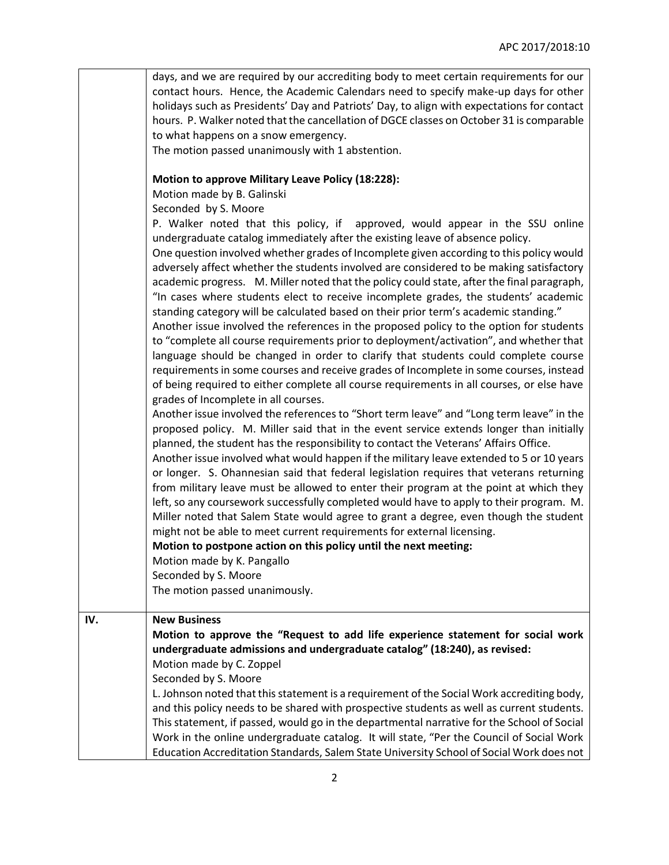|     | days, and we are required by our accrediting body to meet certain requirements for our<br>contact hours. Hence, the Academic Calendars need to specify make-up days for other<br>holidays such as Presidents' Day and Patriots' Day, to align with expectations for contact<br>hours. P. Walker noted that the cancellation of DGCE classes on October 31 is comparable<br>to what happens on a snow emergency.<br>The motion passed unanimously with 1 abstention.<br><b>Motion to approve Military Leave Policy (18:228):</b><br>Motion made by B. Galinski<br>Seconded by S. Moore                                                                                                                                                                                                                                                                                                                                                                                                                                                                                                                                                                                                                                                                                                                                                                                                                                                                                                                                                                                                                                                                                                                                                                                                                                                                                                                                                                                                                                                       |
|-----|---------------------------------------------------------------------------------------------------------------------------------------------------------------------------------------------------------------------------------------------------------------------------------------------------------------------------------------------------------------------------------------------------------------------------------------------------------------------------------------------------------------------------------------------------------------------------------------------------------------------------------------------------------------------------------------------------------------------------------------------------------------------------------------------------------------------------------------------------------------------------------------------------------------------------------------------------------------------------------------------------------------------------------------------------------------------------------------------------------------------------------------------------------------------------------------------------------------------------------------------------------------------------------------------------------------------------------------------------------------------------------------------------------------------------------------------------------------------------------------------------------------------------------------------------------------------------------------------------------------------------------------------------------------------------------------------------------------------------------------------------------------------------------------------------------------------------------------------------------------------------------------------------------------------------------------------------------------------------------------------------------------------------------------------|
|     | P. Walker noted that this policy, if approved, would appear in the SSU online<br>undergraduate catalog immediately after the existing leave of absence policy.<br>One question involved whether grades of Incomplete given according to this policy would<br>adversely affect whether the students involved are considered to be making satisfactory<br>academic progress. M. Miller noted that the policy could state, after the final paragraph,<br>"In cases where students elect to receive incomplete grades, the students' academic<br>standing category will be calculated based on their prior term's academic standing."<br>Another issue involved the references in the proposed policy to the option for students<br>to "complete all course requirements prior to deployment/activation", and whether that<br>language should be changed in order to clarify that students could complete course<br>requirements in some courses and receive grades of Incomplete in some courses, instead<br>of being required to either complete all course requirements in all courses, or else have<br>grades of Incomplete in all courses.<br>Another issue involved the references to "Short term leave" and "Long term leave" in the<br>proposed policy. M. Miller said that in the event service extends longer than initially<br>planned, the student has the responsibility to contact the Veterans' Affairs Office.<br>Another issue involved what would happen if the military leave extended to 5 or 10 years<br>or longer. S. Ohannesian said that federal legislation requires that veterans returning<br>from military leave must be allowed to enter their program at the point at which they<br>left, so any coursework successfully completed would have to apply to their program. M.<br>Miller noted that Salem State would agree to grant a degree, even though the student<br>might not be able to meet current requirements for external licensing.<br>Motion to postpone action on this policy until the next meeting: |
|     | Motion made by K. Pangallo<br>Seconded by S. Moore<br>The motion passed unanimously.                                                                                                                                                                                                                                                                                                                                                                                                                                                                                                                                                                                                                                                                                                                                                                                                                                                                                                                                                                                                                                                                                                                                                                                                                                                                                                                                                                                                                                                                                                                                                                                                                                                                                                                                                                                                                                                                                                                                                        |
| IV. | <b>New Business</b><br>Motion to approve the "Request to add life experience statement for social work<br>undergraduate admissions and undergraduate catalog" (18:240), as revised:<br>Motion made by C. Zoppel<br>Seconded by S. Moore<br>L. Johnson noted that this statement is a requirement of the Social Work accrediting body,<br>and this policy needs to be shared with prospective students as well as current students.<br>This statement, if passed, would go in the departmental narrative for the School of Social<br>Work in the online undergraduate catalog. It will state, "Per the Council of Social Work<br>Education Accreditation Standards, Salem State University School of Social Work does not                                                                                                                                                                                                                                                                                                                                                                                                                                                                                                                                                                                                                                                                                                                                                                                                                                                                                                                                                                                                                                                                                                                                                                                                                                                                                                                    |